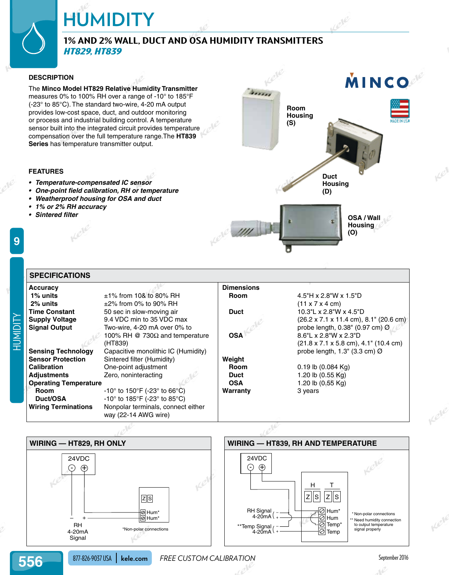# **HUMIDITY**

## **1% and 2% Wall, Duct and OSA Humidity Transmitters** *HT829, HT839*

#### **DESCRIPTION**

The **Minco Model HT829 Relative Humidity Transmitter** measures 0% to 100% RH over a range of -10° to 185°F (-23° to 85°C). The standard two-wire, 4-20 mA output provides low-cost space, duct, and outdoor monitoring or process and industrial building control. A temperature sensor built into the integrated circuit provides temperature compensation over the full temperature range.The **HT839 Series** has temperature transmitter output.

#### **FEATURES**

- **• Temperature-compensated IC sensor**
- **• One-point field calibration, RH or temperature**
- **• Weatherproof housing for OSA and duct**
- **• 1% or 2% RH accuracy**
- **• Sintered filter**

**9**



| <b>SPECIFICATIONS</b>        |                                                            |                   |                                                                       |
|------------------------------|------------------------------------------------------------|-------------------|-----------------------------------------------------------------------|
| <b>Accuracy</b>              |                                                            | <b>Dimensions</b> |                                                                       |
| 1% units                     | $±1\%$ from 10& to 80% RH                                  | <b>Room</b>       | $4.5$ "H x 2.8"W x 1.5"D                                              |
| 2% units                     | $\pm$ 2% from 0% to 90% RH                                 |                   | $(11 \times 7 \times 4 \text{ cm})$                                   |
| <b>Time Constant</b>         | 50 sec in slow-moving air                                  | <b>Duct</b>       | 10.3"L x 2.8"W x 4.5"D                                                |
| <b>Supply Voltage</b>        | 9.4 VDC min to 35 VDC max                                  |                   | $(26.2 \times 7.1 \times 11.4 \text{ cm})$ , 8.1" $(20.6 \text{ cm})$ |
| <b>Signal Output</b>         | Two-wire, 4-20 mA over 0% to                               |                   | probe length, $0.38$ " (0.97 cm) $\varnothing$                        |
|                              | 100% RH @ 730 $\Omega$ and temperature                     | <b>OSA</b>        | $8.6"$ L x 2.8"W x 2.3"D                                              |
|                              | (HT839)                                                    |                   | $(21.8 \times 7.1 \times 5.8 \text{ cm})$ , 4.1" (10.4 cm)            |
| <b>Sensing Technology</b>    | Capacitive monolithic IC (Humidity)                        |                   | probe length, $1.3$ " (3.3 cm) $\varnothing$                          |
| <b>Sensor Protection</b>     | Sintered filter (Humidity)                                 | Weight            |                                                                       |
| <b>Calibration</b>           | One-point adjustment                                       | <b>Room</b>       | $0.19$ lb $(0.084$ Kg)                                                |
| <b>Adjustments</b>           | Zero, noninteracting                                       | <b>Duct</b>       | 1.20 lb (0.55 Kg)                                                     |
| <b>Operating Temperature</b> |                                                            | <b>OSA</b>        | 1.20 lb (0.55 Kg)                                                     |
| <b>Room</b>                  | $-10^{\circ}$ to 150°F (-23° to 66°C)                      | Warranty          | 3 years                                                               |
| Duct/OSA                     | $-10^{\circ}$ to 185°F (-23° to 85°C)                      |                   |                                                                       |
| <b>Wiring Terminations</b>   | Nonpolar terminals, connect either<br>way (22-14 AWG wire) |                   |                                                                       |